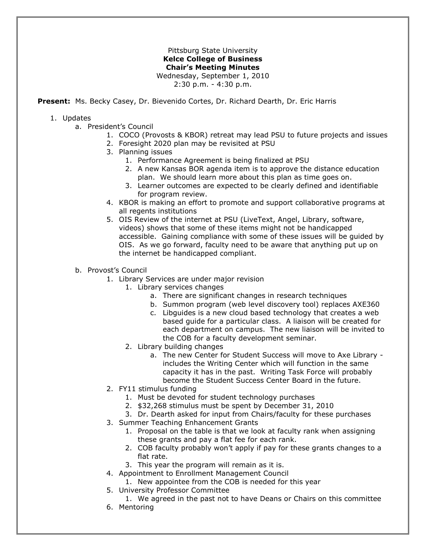## Pittsburg State University **Kelce College of Business Chair's Meeting Minutes** Wednesday, September 1, 2010 2:30 p.m. - 4:30 p.m.

**Present:** Ms. Becky Casey, Dr. Bievenido Cortes, Dr. Richard Dearth, Dr. Eric Harris

## 1. Updates

- a. President's Council
	- 1. COCO (Provosts & KBOR) retreat may lead PSU to future projects and issues
	- 2. Foresight 2020 plan may be revisited at PSU
	- 3. Planning issues
		- 1. Performance Agreement is being finalized at PSU
		- 2. A new Kansas BOR agenda item is to approve the distance education plan. We should learn more about this plan as time goes on.
		- 3. Learner outcomes are expected to be clearly defined and identifiable for program review.
	- 4. KBOR is making an effort to promote and support collaborative programs at all regents institutions
	- 5. OIS Review of the internet at PSU (LiveText, Angel, Library, software, videos) shows that some of these items might not be handicapped accessible. Gaining compliance with some of these issues will be guided by OIS. As we go forward, faculty need to be aware that anything put up on the internet be handicapped compliant.
- b. Provost's Council
	- 1. Library Services are under major revision
		- 1. Library services changes
			- a. There are significant changes in research techniques
			- b. Summon program (web level discovery tool) replaces AXE360
			- c. Libguides is a new cloud based technology that creates a web based guide for a particular class. A liaison will be created for each department on campus. The new liaison will be invited to the COB for a faculty development seminar.
		- 2. Library building changes
			- a. The new Center for Student Success will move to Axe Library includes the Writing Center which will function in the same capacity it has in the past. Writing Task Force will probably become the Student Success Center Board in the future.
	- 2. FY11 stimulus funding
		- 1. Must be devoted for student technology purchases
		- 2. \$32,268 stimulus must be spent by December 31, 2010
		- 3. Dr. Dearth asked for input from Chairs/faculty for these purchases
	- 3. Summer Teaching Enhancement Grants
		- 1. Proposal on the table is that we look at faculty rank when assigning these grants and pay a flat fee for each rank.
		- 2. COB faculty probably won't apply if pay for these grants changes to a flat rate.
		- 3. This year the program will remain as it is.
	- 4. Appointment to Enrollment Management Council
		- 1. New appointee from the COB is needed for this year
	- 5. University Professor Committee
		- 1. We agreed in the past not to have Deans or Chairs on this committee
	- 6. Mentoring